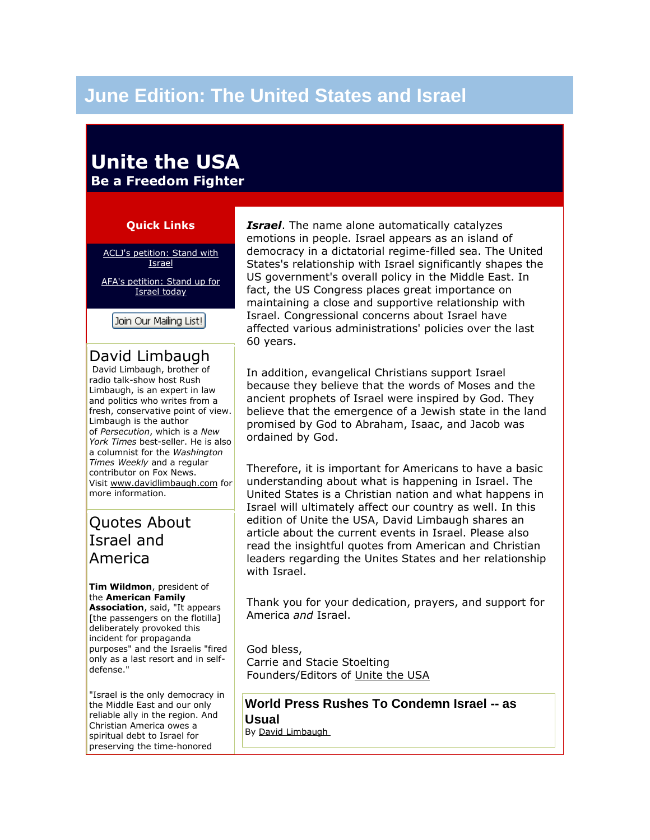# **June Edition: The United States and Israel**

# **Unite the USA Be a Freedom Fighter**

### **Quick Links**

[ACLJ's petition: Stand with](https://www.aclj.org/Petition/Default.aspx?sc=3594&ac=1)  **[Israel](https://www.aclj.org/Petition/Default.aspx?sc=3594&ac=1)** 

[AFA's petition: Stand up for](http://www3.capwiz.com/afanet/issues/alert/?alertid=15099846)  [Israel today](http://www3.capwiz.com/afanet/issues/alert/?alertid=15099846)

Join Our Mailing List!

### David Limbaugh

David Limbaugh, brother of radio talk-show host Rush Limbaugh, is an expert in law and politics who writes from a fresh, conservative point of view. Limbaugh is the author of *Persecution*, which is a *New York Times* best-seller. He is also a columnist for the *Washington Times Weekly* and a regular contributor on Fox News. Visit [www.davidlimbaugh.com](http://www.davidlimbaugh.com/) for more information.

# Quotes About Israel and America

**Tim Wildmon**, president of the **American Family Association**, said, "It appears [the passengers on the flotilla] deliberately provoked this incident for propaganda purposes" and the Israelis "fired only as a last resort and in selfdefense."

"Israel is the only democracy in the Middle East and our only reliable ally in the region. And Christian America owes a spiritual debt to Israel for preserving the time-honored

*Israel*. The name alone automatically catalyzes emotions in people. Israel appears as an island of democracy in a dictatorial regime-filled sea. The United States's relationship with Israel significantly shapes the US government's overall policy in the Middle East. In fact, the US Congress places great importance on maintaining a close and supportive relationship with Israel. Congressional concerns about Israel have affected various administrations' policies over the last 60 years.

In addition, evangelical Christians support Israel because they believe that the words of Moses and the ancient prophets of Israel were inspired by God. They believe that the emergence of a Jewish state in the land promised by God to Abraham, Isaac, and Jacob was ordained by God.

Therefore, it is important for Americans to have a basic understanding about what is happening in Israel. The United States is a Christian nation and what happens in Israel will ultimately affect our country as well. In this edition of Unite the USA, David Limbaugh shares an article about the current events in Israel. Please also read the insightful quotes from American and Christian leaders regarding the Unites States and her relationship with Israel.

Thank you for your dedication, prayers, and support for America *and* Israel.

God bless, Carrie and Stacie Stoelting Founders/Editors of [Unite the USA](http://unitetheusa.org/index.html)

**World Press Rushes To Condemn Israel -- as Usual** By [David Limbaugh](http://www.davidlimbaugh.com/)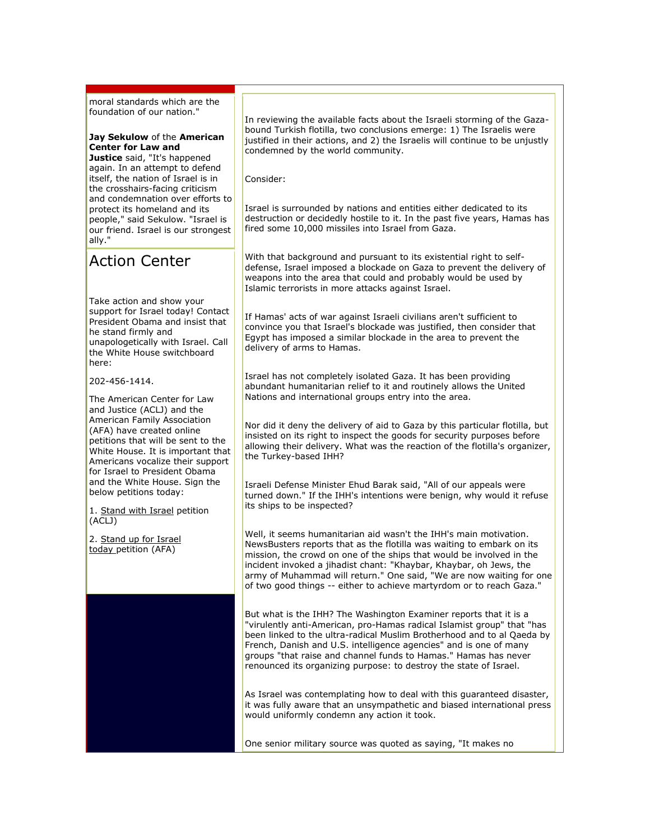moral standards which are the foundation of our nation."

#### **Jay Sekulow** of the **American Center for Law and**

**Justice** said, "It's happened again. In an attempt to defend itself, the nation of Israel is in the crosshairs-facing criticism and condemnation over efforts to protect its homeland and its people," said Sekulow. "Israel is our friend. Israel is our strongest ally."

# Action Center

Take action and show your support for Israel today! Contact President Obama and insist that he stand firmly and unapologetically with Israel. Call the White House switchboard here:

202-456-1414.

The American Center for Law and Justice (ACLJ) and the American Family Association (AFA) have created online petitions that will be sent to the White House. It is important that Americans vocalize their support for Israel to President Obama and the White House. Sign the below petitions today:

1. [Stand with Israel](https://www.aclj.org/Petition/Default.aspx?sc=3594&ac=1) petition (ACLJ)

2. [Stand up for Israel](http://www3.capwiz.com/afanet/issues/alert/?alertid=15099846)  [today](http://www3.capwiz.com/afanet/issues/alert/?alertid=15099846) petition (AFA)

In reviewing the available facts about the Israeli storming of the Gazabound Turkish flotilla, two conclusions emerge: 1) The Israelis were justified in their actions, and 2) the Israelis will continue to be unjustly condemned by the world community.

Consider:

Israel is surrounded by nations and entities either dedicated to its destruction or decidedly hostile to it. In the past five years, Hamas has fired some 10,000 missiles into Israel from Gaza.

With that background and pursuant to its existential right to selfdefense, Israel imposed a blockade on Gaza to prevent the delivery of weapons into the area that could and probably would be used by Islamic terrorists in more attacks against Israel.

If Hamas' acts of war against Israeli civilians aren't sufficient to convince you that Israel's blockade was justified, then consider that Egypt has imposed a similar blockade in the area to prevent the delivery of arms to Hamas.

Israel has not completely isolated Gaza. It has been providing abundant humanitarian relief to it and routinely allows the United Nations and international groups entry into the area.

Nor did it deny the delivery of aid to Gaza by this particular flotilla, but insisted on its right to inspect the goods for security purposes before allowing their delivery. What was the reaction of the flotilla's organizer, the Turkey-based IHH?

Israeli Defense Minister Ehud Barak said, "All of our appeals were turned down." If the IHH's intentions were benign, why would it refuse its ships to be inspected?

Well, it seems humanitarian aid wasn't the IHH's main motivation. NewsBusters reports that as the flotilla was waiting to embark on its mission, the crowd on one of the ships that would be involved in the incident invoked a jihadist chant: "Khaybar, Khaybar, oh Jews, the army of Muhammad will return." One said, "We are now waiting for one of two good things -- either to achieve martyrdom or to reach Gaza."

But what is the IHH? The Washington Examiner reports that it is a "virulently anti-American, pro-Hamas radical Islamist group" that "has been linked to the ultra-radical Muslim Brotherhood and to al Qaeda by French, Danish and U.S. intelligence agencies" and is one of many groups "that raise and channel funds to Hamas." Hamas has never renounced its organizing purpose: to destroy the state of Israel.

As Israel was contemplating how to deal with this guaranteed disaster, it was fully aware that an unsympathetic and biased international press would uniformly condemn any action it took.

One senior military source was quoted as saying, "It makes no